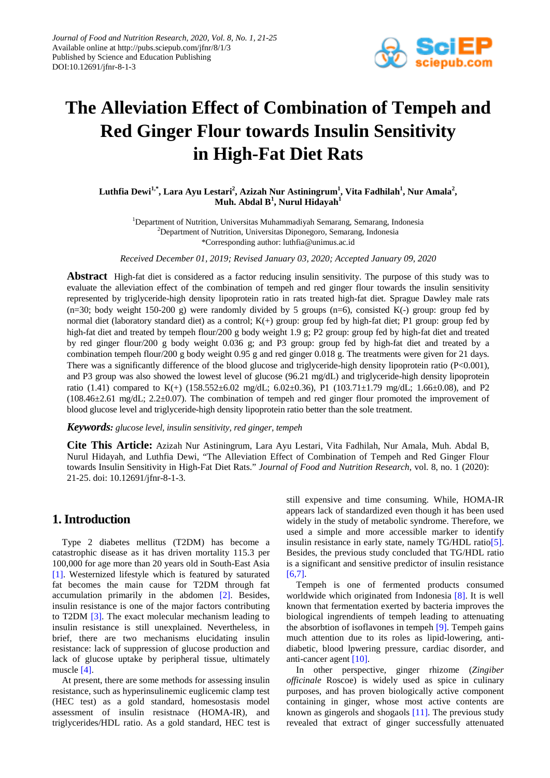

# **The Alleviation Effect of Combination of Tempeh and Red Ginger Flour towards Insulin Sensitivity in High-Fat Diet Rats**

 $\mathbf{L}$ uthfia Dewi $^{1,*}$ , Lara Ayu Lestari $^{2}$ , Azizah Nur Astiningrum $^{1}$ , Vita Fadhilah $^{1}$ , Nur Amala $^{2}$ ,  $\mathbf{Muh.}$  Abdal  $\mathbf{B}^{1},$  Nurul Hidayah $^{1}$ 

<sup>1</sup>Department of Nutrition, Universitas Muhammadiyah Semarang, Semarang, Indonesia <sup>2</sup>Department of Nutrition, Universitas Diponegoro, Semarang, Indonesia \*Corresponding author: luthfia@unimus.ac.id

*Received December 01, 2019; Revised January 03, 2020; Accepted January 09, 2020*

**Abstract** High-fat diet is considered as a factor reducing insulin sensitivity. The purpose of this study was to evaluate the alleviation effect of the combination of tempeh and red ginger flour towards the insulin sensitivity represented by triglyceride-high density lipoprotein ratio in rats treated high-fat diet. Sprague Dawley male rats  $(n=30;$  body weight 150-200 g) were randomly divided by 5 groups  $(n=6)$ , consisted K(-) group: group fed by normal diet (laboratory standard diet) as a control; K(+) group: group fed by high-fat diet; P1 group: group fed by high-fat diet and treated by tempeh flour/200 g body weight 1.9 g; P2 group: group fed by high-fat diet and treated by red ginger flour/200 g body weight 0.036 g; and P3 group: group fed by high-fat diet and treated by a combination tempeh flour/200 g body weight 0.95 g and red ginger 0.018 g. The treatments were given for 21 days. There was a significantly difference of the blood glucose and triglyceride-high density lipoprotein ratio (P<0.001), and P3 group was also showed the lowest level of glucose (96.21 mg/dL) and triglyceride-high density lipoprotein ratio (1.41) compared to K(+) (158.552±6.02 mg/dL; 6.02±0.36), P1 (103.71±1.79 mg/dL; 1.66±0.08), and P2 (108.46±2.61 mg/dL; 2.2±0.07). The combination of tempeh and red ginger flour promoted the improvement of blood glucose level and triglyceride-high density lipoprotein ratio better than the sole treatment.

#### *Keywords: glucose level, insulin sensitivity, red ginger, tempeh*

**Cite This Article:** Azizah Nur Astiningrum, Lara Ayu Lestari, Vita Fadhilah, Nur Amala, Muh. Abdal B, Nurul Hidayah, and Luthfia Dewi, "The Alleviation Effect of Combination of Tempeh and Red Ginger Flour towards Insulin Sensitivity in High-Fat Diet Rats." *Journal of Food and Nutrition Research*, vol. 8, no. 1 (2020): 21-25. doi: 10.12691/jfnr-8-1-3.

# **1. Introduction**

Type 2 diabetes mellitus (T2DM) has become a catastrophic disease as it has driven mortality 115.3 per 100,000 for age more than 20 years old in South-East Asia [\[1\].](#page-3-0) Westernized lifestyle which is featured by saturated fat becomes the main cause for T2DM through fat accumulation primarily in the abdomen [\[2\].](#page-3-1) Besides, insulin resistance is one of the major factors contributing to T2DM [\[3\].](#page-3-2) The exact molecular mechanism leading to insulin resistance is still unexplained. Nevertheless, in brief, there are two mechanisms elucidating insulin resistance: lack of suppression of glucose production and lack of glucose uptake by peripheral tissue, ultimately muscle [\[4\].](#page-3-3)

At present, there are some methods for assessing insulin resistance, such as hyperinsulinemic euglicemic clamp test (HEC test) as a gold standard, homesostasis model assessment of insulin resistnace (HOMA-IR), and triglycerides/HDL ratio. As a gold standard, HEC test is still expensive and time consuming. While, HOMA-IR appears lack of standardized even though it has been used widely in the study of metabolic syndrome. Therefore, we used a simple and more accessible marker to identify insulin resistance in early state, namely TG/HDL ratio<sup>[5]</sup>. Besides, the previous study concluded that TG/HDL ratio is a significant and sensitive predictor of insulin resistance [\[6,7\].](#page-3-5)

Tempeh is one of fermented products consumed worldwide which originated from Indonesia [\[8\].](#page-3-6) It is well known that fermentation exerted by bacteria improves the biological ingrendients of tempeh leading to attenuating the absorbtion of isoflavones in tempeh [\[9\].](#page-3-7) Tempeh gains much attention due to its roles as lipid-lowering, antidiabetic, blood lpwering pressure, cardiac disorder, and anti-cancer agent [\[10\].](#page-3-8)

In other perspective, ginger rhizome (*Zingiber officinale* Roscoe) is widely used as spice in culinary purposes, and has proven biologically active component containing in ginger, whose most active contents are known as gingerols and shogaols [\[11\].](#page-3-9) The previous study revealed that extract of ginger successfully attenuated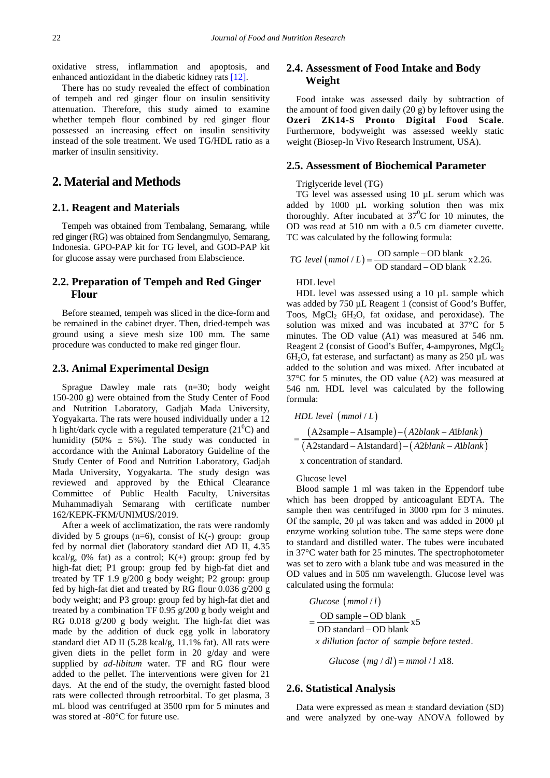oxidative stress, inflammation and apoptosis, and enhanced antiozidant in the diabetic kidney rats [\[12\].](#page-3-10) 

There has no study revealed the effect of combination of tempeh and red ginger flour on insulin sensitivity attenuation. Therefore, this study aimed to examine whether tempeh flour combined by red ginger flour possessed an increasing effect on insulin sensitivity instead of the sole treatment. We used TG/HDL ratio as a marker of insulin sensitivity.

# **2. Material and Methods**

### **2.1. Reagent and Materials**

Tempeh was obtained from Tembalang, Semarang, while red ginger (RG) was obtained from Sendangmulyo, Semarang, Indonesia. GPO-PAP kit for TG level, and GOD-PAP kit for glucose assay were purchased from Elabscience.

## **2.2. Preparation of Tempeh and Red Ginger Flour**

Before steamed, tempeh was sliced in the dice-form and be remained in the cabinet dryer. Then, dried-tempeh was ground using a sieve mesh size 100 mm. The same procedure was conducted to make red ginger flour.

#### **2.3. Animal Experimental Design**

Sprague Dawley male rats (n=30; body weight 150-200 g) were obtained from the Study Center of Food and Nutrition Laboratory, Gadjah Mada University, Yogyakarta. The rats were housed individually under a 12 h light/dark cycle with a regulated temperature  $(21^0C)$  and humidity (50%  $\pm$  5%). The study was conducted in accordance with the Animal Laboratory Guideline of the Study Center of Food and Nutrition Laboratory, Gadjah Mada University, Yogyakarta. The study design was reviewed and approved by the Ethical Clearance Committee of Public Health Faculty, Universitas Muhammadiyah Semarang with certificate number 162/KEPK-FKM/UNIMUS/2019.

After a week of acclimatization, the rats were randomly divided by 5 groups ( $n=6$ ), consist of  $K(-)$  group: group fed by normal diet (laboratory standard diet AD II, 4.35 kcal/g, 0% fat) as a control;  $K(+)$  group: group fed by high-fat diet; P1 group: group fed by high-fat diet and treated by TF 1.9 g/200 g body weight; P2 group: group fed by high-fat diet and treated by RG flour 0.036 g/200 g body weight; and P3 group: group fed by high-fat diet and treated by a combination TF 0.95 g/200 g body weight and RG 0.018 g/200 g body weight. The high-fat diet was made by the addition of duck egg yolk in laboratory standard diet AD II (5.28 kcal/g, 11.1% fat). All rats were given diets in the pellet form in 20 g/day and were supplied by *ad-libitum* water. TF and RG flour were added to the pellet. The interventions were given for 21 days. At the end of the study, the overnight fasted blood rats were collected through retroorbital. To get plasma, 3 mL blood was centrifuged at 3500 rpm for 5 minutes and was stored at -80°C for future use.

# **2.4. Assessment of Food Intake and Body Weight**

Food intake was assessed daily by subtraction of the amount of food given daily (20 g) by leftover using the **Ozeri ZK14-S Pronto Digital Food Scale**. Furthermore, bodyweight was assessed weekly static weight (Biosep-In Vivo Research Instrument, USA).

#### **2.5. Assessment of Biochemical Parameter**

#### Triglyceride level (TG)

TG level was assessed using 10  $\mu$ L serum which was added by 1000 µL working solution then was mix thoroughly. After incubated at  $37^0C$  for 10 minutes, the OD was read at 510 nm with a 0.5 cm diameter cuvette. TC was calculated by the following formula:

*TG level (mmol / L)* = 
$$
\frac{OD \text{ sample} - OD \text{ blank}}{OD \text{ standard} - OD \text{ blank}} \times 2.26.
$$

HDL level

HDL level was assessed using a 10 µL sample which was added by 750 µL Reagent 1 (consist of Good's Buffer, Toos,  $MgCl<sub>2</sub> 6H<sub>2</sub>O$ , fat oxidase, and peroxidase). The solution was mixed and was incubated at 37°C for 5 minutes. The OD value (A1) was measured at 546 nm. Reagent 2 (consist of Good's Buffer, 4-ampyrones,  $MgCl<sub>2</sub>$  $6H<sub>2</sub>O$ , fat esterase, and surfactant) as many as 250  $\mu$ L was added to the solution and was mixed. After incubated at 37°C for 5 minutes, the OD value (A2) was measured at 546 nm. HDL level was calculated by the following formula:

*HDL level (mmol / L)*  
= 
$$
\frac{(A2sample - A1sample) - (A2blank - A1blank)}{(A2standard - A1standard) - (A2blank - A1blank)}
$$
  
For conservation of standard

x concentration of standard.

Glucose level

Blood sample 1 ml was taken in the Eppendorf tube which has been dropped by anticoagulant EDTA. The sample then was centrifuged in 3000 rpm for 3 minutes. Of the sample, 20 μl was taken and was added in 2000 μl enzyme working solution tube. The same steps were done to standard and distilled water. The tubes were incubated in 37°C water bath for 25 minutes. The spectrophotometer was set to zero with a blank tube and was measured in the OD values and in 505 nm wavelength. Glucose level was calculated using the formula:

Glucose (mmol/l)  $=\frac{OD \text{ sample} - OD \text{ blank}}{OD \text{ standard} - OD \text{ blank}}$  x5 . *x dillution factor of sample before tested*

*Glucose*  $(mg/dl) = mmol/l x18$ .

#### **2.6. Statistical Analysis**

Data were expressed as mean  $\pm$  standard deviation (SD) and were analyzed by one-way ANOVA followed by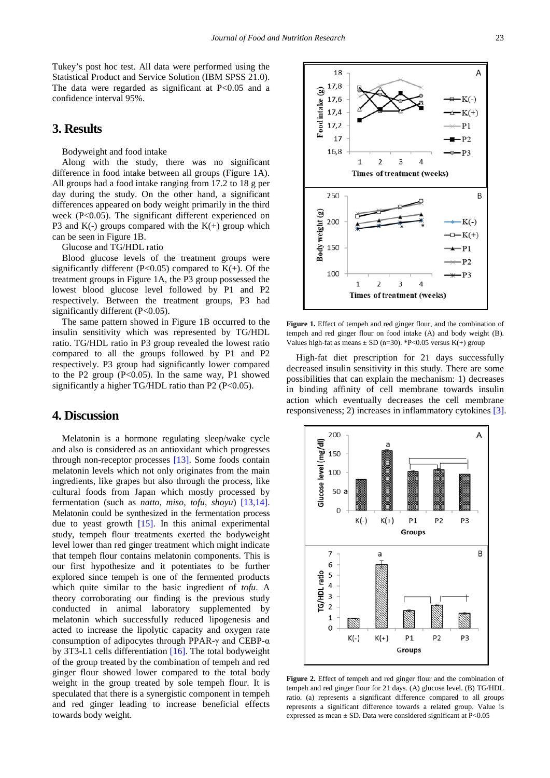Tukey's post hoc test. All data were performed using the Statistical Product and Service Solution (IBM SPSS 21.0). The data were regarded as significant at  $P<0.05$  and a confidence interval 95%.

## **3. Results**

Bodyweight and food intake

Along with the study, there was no significant difference in food intake between all groups (Figure 1A). All groups had a food intake ranging from 17.2 to 18 g per day during the study. On the other hand, a significant differences appeared on body weight primarily in the third week (P<0.05). The significant different experienced on P3 and  $K(-)$  groups compared with the  $K(+)$  group which can be seen in Figure 1B.

Glucose and TG/HDL ratio

Blood glucose levels of the treatment groups were significantly different (P<0.05) compared to  $K(+)$ . Of the treatment groups in Figure 1A, the P3 group possessed the lowest blood glucose level followed by P1 and P2 respectively. Between the treatment groups, P3 had significantly different (P<0.05).

The same pattern showed in Figure 1B occurred to the insulin sensitivity which was represented by TG/HDL ratio. TG/HDL ratio in P3 group revealed the lowest ratio compared to all the groups followed by P1 and P2 respectively. P3 group had significantly lower compared to the P2 group  $(P<0.05)$ . In the same way, P1 showed significantly a higher TG/HDL ratio than  $P2$  ( $P<0.05$ ).

## **4. Discussion**

Melatonin is a hormone regulating sleep/wake cycle and also is considered as an antioxidant which progresses through non-receptor processes [\[13\].](#page-3-11) Some foods contain melatonin levels which not only originates from the main ingredients, like grapes but also through the process, like cultural foods from Japan which mostly processed by fermentation (such as *natto, miso, tofu, shoyu*) [\[13,14\].](#page-3-11) Melatonin could be synthesized in the fermentation process due to yeast growth [\[15\].](#page-3-12) In this animal experimental study, tempeh flour treatments exerted the bodyweight level lower than red ginger treatment which might indicate that tempeh flour contains melatonin components. This is our first hypothesize and it potentiates to be further explored since tempeh is one of the fermented products which quite similar to the basic ingredient of *tofu*. A theory corroborating our finding is the previous study conducted in animal laboratory supplemented by melatonin which successfully reduced lipogenesis and acted to increase the lipolytic capacity and oxygen rate consumption of adipocytes through PPAR-γ and CEBP-α by 3T3-L1 cells differentiation [\[16\].](#page-3-13) The total bodyweight of the group treated by the combination of tempeh and red ginger flour showed lower compared to the total body weight in the group treated by sole tempeh flour. It is speculated that there is a synergistic component in tempeh and red ginger leading to increase beneficial effects towards body weight.



Figure 1. Effect of tempeh and red ginger flour, and the combination of tempeh and red ginger flour on food intake (A) and body weight (B). Values high-fat as means  $\pm$  SD (n=30). \*P<0.05 versus K(+) group

High-fat diet prescription for 21 days successfully decreased insulin sensitivity in this study. There are some possibilities that can explain the mechanism: 1) decreases in binding affinity of cell membrane towards insulin action which eventually decreases the cell membrane responsiveness; 2) increases in inflammatory cytokines [\[3\].](#page-3-2)



**Figure 2.** Effect of tempeh and red ginger flour and the combination of tempeh and red ginger flour for 21 days. (A) glucose level. (B) TG/HDL ratio. (a) represents a significant difference compared to all groups represents a significant difference towards a related group. Value is expressed as mean  $\pm$  SD. Data were considered significant at P<0.05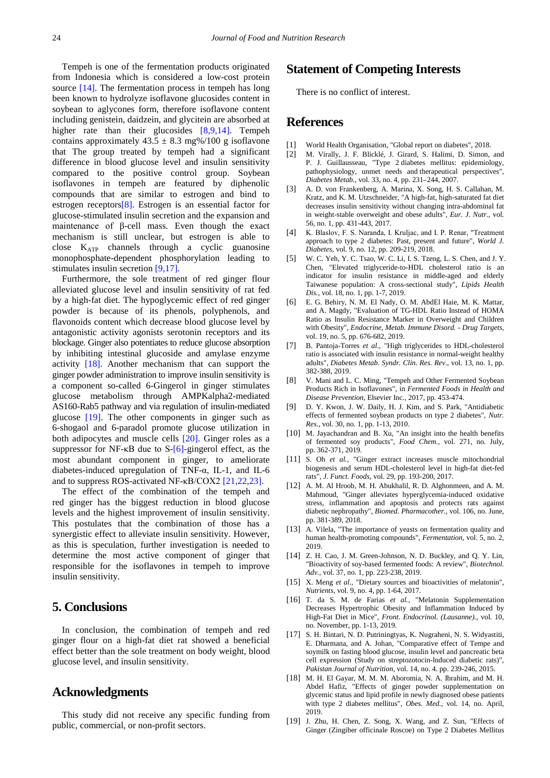Tempeh is one of the fermentation products originated from Indonesia which is considered a low-cost protein source [\[14\].](#page-3-14) The fermentation process in tempeh has long been known to hydrolyze isoflavone glucosides content in soybean to aglycones form, therefore isoflavone content including genistein, daidzein, and glycitein are absorbed at higher rate than their glucosides [\[8,9,14\].](#page-3-6) Tempeh contains approximately  $43.5 \pm 8.3$  mg%/100 g isoflavone that The group treated by tempeh had a significant difference in blood glucose level and insulin sensitivity compared to the positive control group. Soybean isoflavones in tempeh are featured by diphenolic compounds that are similar to estrogen and bind to estrogen receptor[s\[8\].](#page-3-6) Estrogen is an essential factor for glucose-stimulated insulin secretion and the expansion and maintenance of β-cell mass. Even though the exact mechanism is still unclear, but estrogen is able to close KATP channels through a cyclic guanosine monophosphate-dependent phosphorylation leading to stimulates insulin secretion [\[9,17\].](#page-3-7)

Furthermore, the sole treatment of red ginger flour alleviated glucose level and insulin sensitivity of rat fed by a high-fat diet. The hypoglycemic effect of red ginger powder is because of its phenols, polyphenols, and flavonoids content which decrease blood glucose level by antagonistic activity agonists serotonin receptors and its blockage. Ginger also potentiates to reduce glucose absorption by inhibiting intestinal glucoside and amylase enzyme activity [\[18\].](#page-3-15) Another mechanism that can support the ginger powder administration to improve insulin sensitivity is a component so-called 6-Gingerol in ginger stimulates glucose metabolism through AMPKalpha2-mediated AS160-Rab5 pathway and via regulation of insulin-mediated glucose [\[19\].](#page-3-16) The other components in ginger such as 6-shogaol and 6-paradol promote glucose utilization in both adipocytes and muscle cells [\[20\].](#page-4-0) Ginger roles as a suppressor for NF-κB due to S[-\[6\]-](#page-3-5)gingerol effect, as the most abundant component in ginger, to ameliorate diabetes-induced upregulation of TNF-α, IL-1, and IL-6 and to suppress ROS-activated NF-κB/COX2 [\[21,22,23\].](#page-4-1)

The effect of the combination of the tempeh and red ginger has the biggest reduction in blood glucose levels and the highest improvement of insulin sensitivity. This postulates that the combination of those has a synergistic effect to alleviate insulin sensitivity. However, as this is speculation, further investigation is needed to determine the most active component of ginger that responsible for the isoflavones in tempeh to improve insulin sensitivity.

# **5. Conclusions**

In conclusion, the combination of tempeh and red ginger flour on a high-fat diet rat showed a beneficial effect better than the sole treatment on body weight, blood glucose level, and insulin sensitivity.

# **Acknowledgments**

This study did not receive any specific funding from public, commercial, or non-profit sectors.

## **Statement of Competing Interests**

There is no conflict of interest.

# **References**

- <span id="page-3-0"></span>[1] World Health Organisation, "Global report on diabetes", 2018.
- <span id="page-3-1"></span>[2] M. Virally, J. F. Blicklé, J. Girard, S. Halimi, D. Simon, and P. J. Guillausseau, "Type 2 diabetes mellitus: epidemiology, pathophysiology, unmet needs and therapeutical perspectives", *Diabetes Metab.*, vol. 33, no. 4, pp. 231–244, 2007.
- <span id="page-3-2"></span>[3] A. D. von Frankenberg, A. Marina, X. Song, H. S. Callahan, M. Kratz, and K. M. Utzschneider, "A high-fat, high-saturated fat diet decreases insulin sensitivity without changing intra-abdominal fat in weight-stable overweight and obese adults", *Eur. J. Nutr.*, vol. 56, no. 1, pp. 431-443, 2017.
- <span id="page-3-3"></span>[4] K. Blaslov, F. S. Naranđa, I. Kruljac, and I. P. Renar, "Treatment approach to type 2 diabetes: Past, present and future", *World J. Diabetes*, vol. 9, no. 12, pp. 209-219, 2018.
- <span id="page-3-4"></span>[5] W. C. Yeh, Y. C. Tsao, W. C. Li, I. S. Tzeng, L. S. Chen, and J. Y. Chen, "Elevated triglyceride-to-HDL cholesterol ratio is an indicator for insulin resistance in middle-aged and elderly Taiwanese population: A cross-sectional study", *Lipids Health Dis.*, vol. 18, no. 1, pp. 1-7, 2019.
- <span id="page-3-5"></span>[6] E. G. Behiry, N. M. El Nady, O. M. AbdEl Haie, M. K. Mattar, and A. Magdy, "Evaluation of TG-HDL Ratio Instead of HOMA Ratio as Insulin Resistance Marker in Overweight and Children with Obesity", *Endocrine, Metab. Immune Disord. - Drug Targets*, vol. 19, no. 5, pp. 676-682, 2019.
- [7] B. Pantoja-Torres *et al.*, "High triglycerides to HDL-cholesterol ratio is associated with insulin resistance in normal-weight healthy adults", *Diabetes Metab. Syndr. Clin. Res. Rev.*, vol. 13, no. 1, pp. 382-388, 2019.
- <span id="page-3-6"></span>[8] V. Mani and L. C. Ming, "Tempeh and Other Fermented Soybean Products Rich in Isoflavones", in *Fermented Foods in Health and Disease Prevention*, Elsevier Inc., 2017, pp. 453-474.
- <span id="page-3-7"></span>[9] D. Y. Kwon, J. W. Daily, H. J. Kim, and S. Park, "Antidiabetic effects of fermented soybean products on type 2 diabetes", *Nutr. Res.*, vol. 30, no. 1, pp. 1-13, 2010.
- <span id="page-3-8"></span>[10] M. Jayachandran and B. Xu, "An insight into the health benefits of fermented soy products", *Food Chem.*, vol. 271, no. July, pp. 362-371, 2019.
- <span id="page-3-9"></span>[11] S. Oh *et al.*, "Ginger extract increases muscle mitochondrial biogenesis and serum HDL-cholesterol level in high-fat diet-fed rats", *J. Funct. Foods*, vol. 29, pp. 193-200, 2017.
- <span id="page-3-10"></span>[12] A. M. Al Hroob, M. H. Abukhalil, R. D. Alghonmeen, and A. M. Mahmoud, "Ginger alleviates hyperglycemia-induced oxidative stress, inflammation and apoptosis and protects rats against diabetic nephropathy", *Biomed. Pharmacother.*, vol. 106, no. June, pp. 381-389, 2018.
- <span id="page-3-11"></span>[13] A. Vilela, "The importance of yeasts on fermentation quality and human health-promoting compounds", *Fermentation*, vol. 5, no. 2, 2019.
- <span id="page-3-14"></span>[14] Z. H. Cao, J. M. Green-Johnson, N. D. Buckley, and Q. Y. Lin, "Bioactivity of soy-based fermented foods: A review", *Biotechnol. Adv.*, vol. 37, no. 1, pp. 223-238, 2019.
- <span id="page-3-12"></span>[15] X. Meng *et al.*, "Dietary sources and bioactivities of melatonin", *Nutrients*, vol. 9, no. 4, pp. 1-64, 2017.
- <span id="page-3-13"></span>[16] T. da S. M. de Farias *et al.*, "Melatonin Supplementation Decreases Hypertrophic Obesity and Inflammation Induced by High-Fat Diet in Mice", *Front. Endocrinol. (Lausanne).*, vol. 10, no. November, pp. 1-13, 2019.
- [17] S. H. Bintari, N. D. Putriningtyas, K. Nugraheni, N. S. Widyastiti, E. Dharmana, and A. Johan, "Comparative effect of Tempe and soymilk on fasting blood glucose, insulin level and pancreatic beta cell expression (Study on streptozotocin-lnduced diabetic rats)", *Pakistan Journal of Nutrition*, vol. 14, no. 4. pp. 239-246, 2015.
- <span id="page-3-15"></span>[18] M. H. El Gayar, M. M. M. Aboromia, N. A. Ibrahim, and M. H. Abdel Hafiz, "Effects of ginger powder supplementation on glycemic status and lipid profile in newly diagnosed obese patients with type 2 diabetes mellitus", *Obes. Med.*, vol. 14, no. April, 2019.
- <span id="page-3-16"></span>[19] J. Zhu, H. Chen, Z. Song, X. Wang, and Z. Sun, "Effects of Ginger (Zingiber officinale Roscoe) on Type 2 Diabetes Mellitus